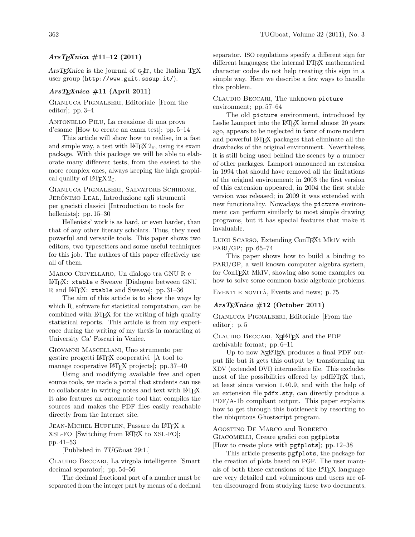### $Ars Tr Xnica #11–12 (2011)$

 $\text{ArsT}_{E}\text{X}$ nica is the journal of G<sub>U</sub>T, the Italian T<sub>E</sub>X user group (http://www.guit.sssup.it/).

# $ArsT<sub>F</sub>Xnica #11 (April 2011)$

Gianluca Pignalberi, Editoriale [From the editor]; pp. 3–4

Antonello Pilu, La creazione di una prova d'esame [How to create an exam test]; pp. 5–14

This article will show how to realise, in a fast and simple way, a test with  $\text{LATEX } 2\varepsilon$ , using its exam package. With this package we will be able to elaborate many different tests, from the easiest to the more complex ones, always keeping the high graphical quality of  $\mathbb{F} \mathbb{F} \mathbb{X} 2_{\varepsilon}$ .

Gianluca Pignalberi, Salvatore Schirone, JERÓNIMO LEAL, Introduzione agli strumenti per grecisti classici [Introduction to tools for hellenists]; pp. 15–30

Hellenists' work is as hard, or even harder, than that of any other literary scholars. Thus, they need powerful and versatile tools. This paper shows two editors, two typesetters and some useful techniques for this job. The authors of this paper effectively use all of them.

Marco Crivellaro, Un dialogo tra GNU R e LATEX: xtable e Sweave [Dialogue between GNU R and LATEX: xtable and Sweave]; pp. 31–36

The aim of this article is to show the ways by which R, software for statistical computation, can be combined with LATEX for the writing of high quality statistical reports. This article is from my experience during the writing of my thesis in marketing at University Ca' Foscari in Venice.

Giovanni Mascellani, Uno strumento per gestire progetti LATEX cooperativi [A tool to manage cooperative LAT<sub>EX</sub> projects, pp. 37–40

Using and modifying available free and open source tools, we made a portal that students can use to collaborate in writing notes and text with LAT<sub>EX</sub>. It also features an automatic tool that compiles the sources and makes the PDF files easily reachable directly from the Internet site.

JEAN-MICHEL HUFFLEN, Passare da LATEX a XSL-FO [Switching from LATEX to XSL-FO]; pp. 41–53

[Published in TUGboat 29:1.]

Claudio Beccari, La virgola intelligente [Smart decimal separator]; pp. 54–56

The decimal fractional part of a number must be separated from the integer part by means of a decimal

separator. ISO regulations specify a different sign for different languages; the internal L<sup>AT</sup>EX mathematical character codes do not help treating this sign in a simple way. Here we describe a few ways to handle this problem.

# Claudio Beccari, The unknown picture environment; pp. 57–64

The old picture environment, introduced by Leslie Lamport into the LATEX kernel almost 20 years ago, appears to be neglected in favor of more modern and powerful LATEX packages that eliminate all the drawbacks of the original environment. Nevertheless, it is still being used behind the scenes by a number of other packages. Lamport announced an extension in 1994 that should have removed all the limitations of the original environment; in 2003 the first version of this extension appeared, in 2004 the first stable version was released; in 2009 it was extended with new functionality. Nowadays the picture environment can perform similarly to most simple drawing programs, but it has special features that make it invaluable.

# Luigi Scarso, Extending ConTEXt MkIV with PARI/GP; pp. 65–74

This paper shows how to build a binding to PARI/GP, a well known computer algebra system, for ConTEXt MkIV, showing also some examples on how to solve some common basic algebraic problems.

EVENTI E NOVITÀ, Events and news; p. 75

#### $AnsT<sub>E</sub>Xnica #12 (October 2011)$

Gianluca Pignalberi, Editoriale [From the editor]; p. 5

CLAUDIO BECCARI, XHATEX and the PDF archivable format; pp. 6–11

Up to now  $X \rightarrow X$  produces a final PDF output file but it gets this output by transforming an XDV (extended DVI) intermediate file. This excludes most of the possibilities offered by pdfLAT<sub>EX</sub> that, at least since version 1.40.9, and with the help of an extension file pdfx.sty, can directly produce a PDF/A-1b compliant output. This paper explains how to get through this bottleneck by resorting to the ubiquitous Ghostscript program.

### Agostino De Marco and Roberto GIACOMELLI, Creare grafici con pgfplots

[How to create plots with pgfplots]; pp. 12–38

This article presents pgfplots, the package for the creation of plots based on PGF. The user manuals of both these extensions of the LATEX language are very detailed and voluminous and users are often discouraged from studying these two documents.